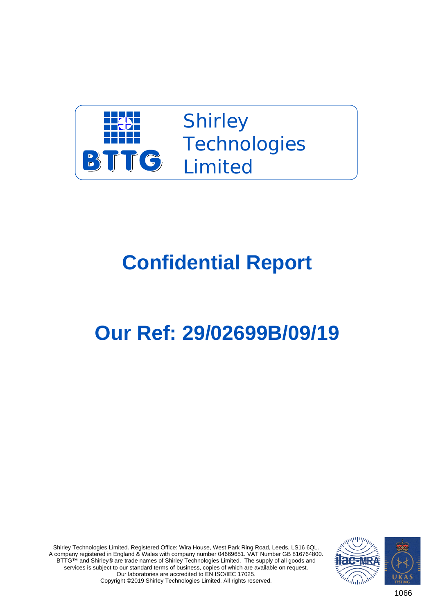

**Shirley Technologies** Limited

## **Confidential Report**

## **Our Ref: 29/02699B/09/19**

Shirley Technologies Limited. Registered Office: Wira House, West Park Ring Road, Leeds, LS16 6QL. A company registered in England & Wales with company number 04669651. VAT Number GB 816764800. BTTG™ and Shirley® are trade names of Shirley Technologies Limited. The supply of all goods and services is subject to our standard terms of business, copies of which are available on request. Our laboratories are accredited to EN ISO/IEC 17025. Copyright ©2019 Shirley Technologies Limited. All rights reserved.



1066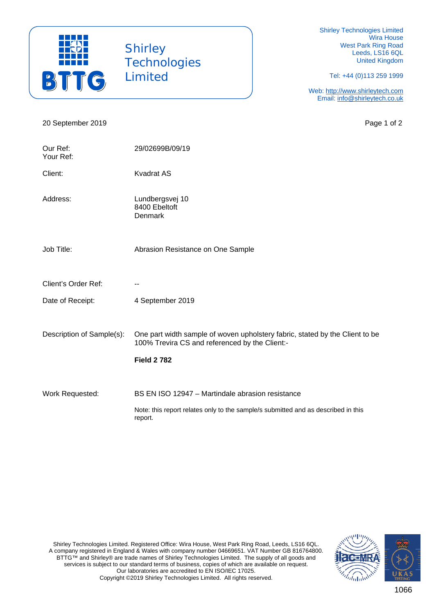

**Shirley Technologies** Limited

Shirley Technologies Limited Wira House West Park Ring Road Leeds, LS16 6QL United Kingdom

Tel: +44 (0)113 259 1999

Web: http://www.shirleytech.com Email: info@shirleytech.co.uk

20 September 2019 **Page 1 of 2** Our Ref: 29/02699B/09/19 Your Ref: Client: Kvadrat AS Address: Lundbergsvej 10 8400 Ebeltoft Denmark Job Title: Abrasion Resistance on One Sample Client's Order Ref: Fig. 2.1 Date of Receipt: 4 September 2019 Description of Sample(s): One part width sample of woven upholstery fabric, stated by the Client to be 100% Trevira CS and referenced by the Client:- **Field 2 782** Work Requested: BS EN ISO 12947 – Martindale abrasion resistance Note: this report relates only to the sample/s submitted and as described in this report.